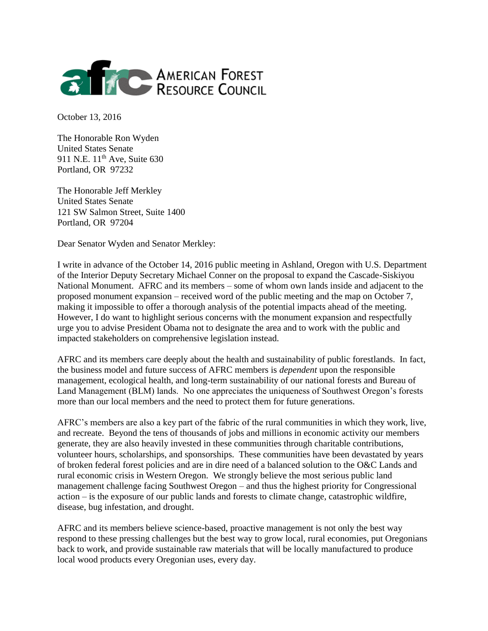

October 13, 2016

The Honorable Ron Wyden United States Senate 911 N.E.  $11^{th}$  Ave, Suite 630 Portland, OR 97232

The Honorable Jeff Merkley United States Senate 121 SW Salmon Street, Suite 1400 Portland, OR 97204

Dear Senator Wyden and Senator Merkley:

I write in advance of the October 14, 2016 public meeting in Ashland, Oregon with U.S. Department of the Interior Deputy Secretary Michael Conner on the proposal to expand the Cascade-Siskiyou National Monument. AFRC and its members – some of whom own lands inside and adjacent to the proposed monument expansion – received word of the public meeting and the map on October 7, making it impossible to offer a thorough analysis of the potential impacts ahead of the meeting. However, I do want to highlight serious concerns with the monument expansion and respectfully urge you to advise President Obama not to designate the area and to work with the public and impacted stakeholders on comprehensive legislation instead.

AFRC and its members care deeply about the health and sustainability of public forestlands. In fact, the business model and future success of AFRC members is *dependent* upon the responsible management, ecological health, and long-term sustainability of our national forests and Bureau of Land Management (BLM) lands. No one appreciates the uniqueness of Southwest Oregon's forests more than our local members and the need to protect them for future generations.

AFRC's members are also a key part of the fabric of the rural communities in which they work, live, and recreate. Beyond the tens of thousands of jobs and millions in economic activity our members generate, they are also heavily invested in these communities through charitable contributions, volunteer hours, scholarships, and sponsorships. These communities have been devastated by years of broken federal forest policies and are in dire need of a balanced solution to the O&C Lands and rural economic crisis in Western Oregon. We strongly believe the most serious public land management challenge facing Southwest Oregon – and thus the highest priority for Congressional action – is the exposure of our public lands and forests to climate change, catastrophic wildfire, disease, bug infestation, and drought.

AFRC and its members believe science-based, proactive management is not only the best way respond to these pressing challenges but the best way to grow local, rural economies, put Oregonians back to work, and provide sustainable raw materials that will be locally manufactured to produce local wood products every Oregonian uses, every day.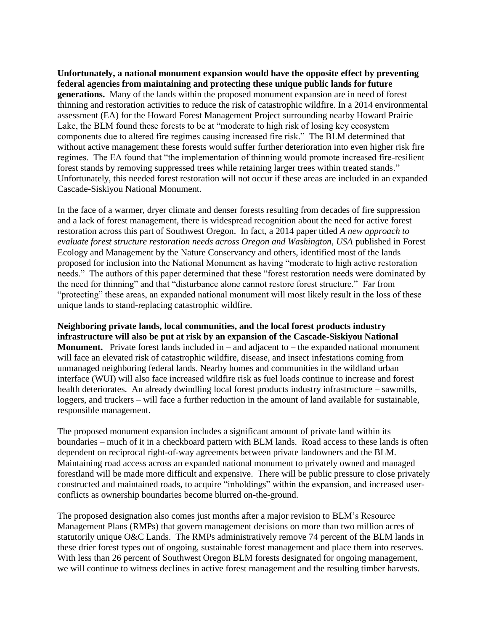**Unfortunately, a national monument expansion would have the opposite effect by preventing federal agencies from maintaining and protecting these unique public lands for future generations.** Many of the lands within the proposed monument expansion are in need of forest thinning and restoration activities to reduce the risk of catastrophic wildfire. In a 2014 environmental assessment (EA) for the Howard Forest Management Project surrounding nearby Howard Prairie Lake, the BLM found these forests to be at "moderate to high risk of losing key ecosystem components due to altered fire regimes causing increased fire risk." The BLM determined that without active management these forests would suffer further deterioration into even higher risk fire regimes. The EA found that "the implementation of thinning would promote increased fire-resilient forest stands by removing suppressed trees while retaining larger trees within treated stands." Unfortunately, this needed forest restoration will not occur if these areas are included in an expanded Cascade-Siskiyou National Monument.

In the face of a warmer, dryer climate and denser forests resulting from decades of fire suppression and a lack of forest management, there is widespread recognition about the need for active forest restoration across this part of Southwest Oregon. In fact, a 2014 paper titled *A new approach to evaluate forest structure restoration needs across Oregon and Washington, USA* published in Forest Ecology and Management by the Nature Conservancy and others, identified most of the lands proposed for inclusion into the National Monument as having "moderate to high active restoration needs." The authors of this paper determined that these "forest restoration needs were dominated by the need for thinning" and that "disturbance alone cannot restore forest structure." Far from "protecting" these areas, an expanded national monument will most likely result in the loss of these unique lands to stand-replacing catastrophic wildfire.

**Neighboring private lands, local communities, and the local forest products industry infrastructure will also be put at risk by an expansion of the Cascade-Siskiyou National Monument.** Private forest lands included in – and adjacent to – the expanded national monument will face an elevated risk of catastrophic wildfire, disease, and insect infestations coming from unmanaged neighboring federal lands. Nearby homes and communities in the wildland urban interface (WUI) will also face increased wildfire risk as fuel loads continue to increase and forest health deteriorates. An already dwindling local forest products industry infrastructure – sawmills, loggers, and truckers – will face a further reduction in the amount of land available for sustainable, responsible management.

The proposed monument expansion includes a significant amount of private land within its boundaries – much of it in a checkboard pattern with BLM lands. Road access to these lands is often dependent on reciprocal right-of-way agreements between private landowners and the BLM. Maintaining road access across an expanded national monument to privately owned and managed forestland will be made more difficult and expensive. There will be public pressure to close privately constructed and maintained roads, to acquire "inholdings" within the expansion, and increased userconflicts as ownership boundaries become blurred on-the-ground.

The proposed designation also comes just months after a major revision to BLM's Resource Management Plans (RMPs) that govern management decisions on more than two million acres of statutorily unique O&C Lands. The RMPs administratively remove 74 percent of the BLM lands in these drier forest types out of ongoing, sustainable forest management and place them into reserves. With less than 26 percent of Southwest Oregon BLM forests designated for ongoing management, we will continue to witness declines in active forest management and the resulting timber harvests.